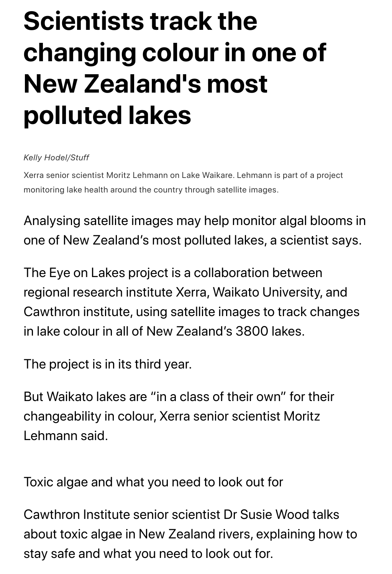# **Scientists track the changing colour in one of New Zealand's most polluted lakes**

### *Kelly Hodel/Stuff*

Xerra senior scientist Moritz Lehmann on Lake Waikare. Lehmann is part of a project monitoring lake health around the country through satellite images.

Analysing satellite images may help monitor algal blooms in one of New Zealand's most polluted lakes, a scientist says.

The Eye on Lakes project is a collaboration between regional research institute Xerra, Waikato University, and Cawthron institute, using satellite images to track changes in lake colour in all of New Zealand's 3800 lakes.

The project is in its third year.

But Waikato lakes are "in a class of their own" for their changeability in colour, Xerra senior scientist Moritz Lehmann said.

Toxic algae and what you need to look out for

Cawthron Institute senior scientist Dr Susie Wood talks about toxic algae in New Zealand rivers, explaining how to stay safe and what you need to look out for.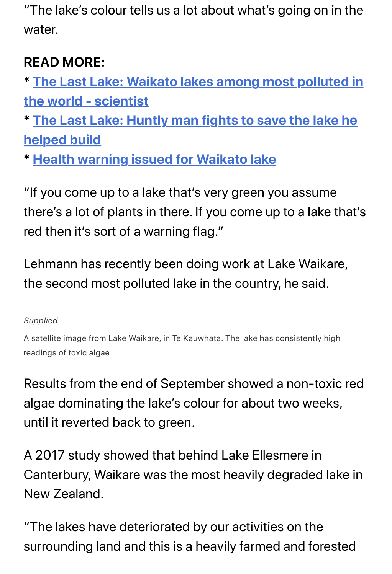water.

## **READ MORE:**

**\* The Last Lake: Waikato lakes among most polluted in the world - scientist**

**[\\* The Last Lake: Huntly man fights to save the lake he](https://www.stuff.co.nz/national/123075186/the-last-lake-waikato-lakes-among-most-polluted-in-the-world--scientist?rm=a) helped build**

**[\\* Health warning issued for Waikato lake](https://www.stuff.co.nz/national/122851451/the-last-lake-huntly-man-fights-to-save-the-lake-he-helped-build?rm=a)**

"[If you come up to a lake that's very green yo](https://www.stuff.co.nz/waikato-times/news/119067455/health-warning-issued-for-waikato-lake?rm=a)u assume there's a lot of plants in there. If you come up to a lake that's red then it's sort of a warning flag."

Lehmann has recently been doing work at Lake Waikare, the second most polluted lake in the country, he said.

## *Supplied*

A satellite image from Lake Waikare, in Te Kauwhata. The lake has consistently high readings of toxic algae

Results from the end of September showed a non-toxic red algae dominating the lake's colour for about two weeks, until it reverted back to green.

A 2017 study showed that behind Lake Ellesmere in Canterbury, Waikare was the most heavily degraded lake in New Zealand.

"The lakes have deteriorated by our activities on the surrounding land and this is a heavily farmed and forested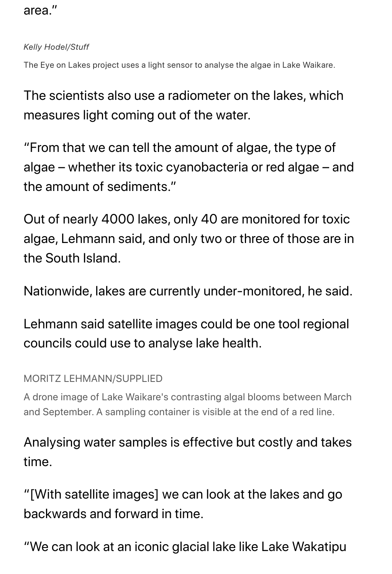## area."

### *Kelly Hodel/Stuff*

The Eye on Lakes project uses a light sensor to analyse the algae in Lake Waikare.

The scientists also use a radiometer on the lakes, which measures light coming out of the water.

"From that we can tell the amount of algae, the type of algae – whether its toxic cyanobacteria or red algae – and the amount of sediments."

Out of nearly 4000 lakes, only 40 are monitored for toxic algae, Lehmann said, and only two or three of those are in the South Island.

Nationwide, lakes are currently under-monitored, he said.

Lehmann said satellite images could be one tool regional councils could use to analyse lake health.

## MORITZ LEHMANN/SUPPLIED

A drone image of Lake Waikare's contrasting algal blooms between March and September. A sampling container is visible at the end of a red line.

Analysing water samples is effective but costly and takes time.

"[With satellite images] we can look at the lakes and go backwards and forward in time.

"We can look at an iconic glacial lake like Lake Wakatipu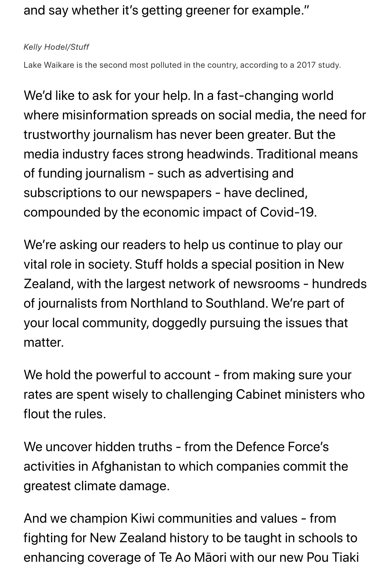## and say whether it's getting greener for example."

### *Kelly Hodel/Stuff*

Lake Waikare is the second most polluted in the country, according to a 2017 study.

We'd like to ask for your help. In a fast-changing world where misinformation spreads on social media, the need for trustworthy journalism has never been greater. But the media industry faces strong headwinds. Traditional means of funding journalism - such as advertising and subscriptions to our newspapers - have declined, compounded by the economic impact of Covid-19.

We're asking our readers to help us continue to play our vital role in society. Stuff holds a special position in New Zealand, with the largest network of newsrooms - hundreds of journalists from Northland to Southland. We're part of your local community, doggedly pursuing the issues that matter.

We hold the powerful to account - from making sure your rates are spent wisely to challenging Cabinet ministers who flout the rules.

We uncover hidden truths - from the Defence Force's activities in Afghanistan to which companies commit the greatest climate damage.

And we champion Kiwi communities and values - from fighting for New Zealand history to be taught in schools to enhancing coverage of Te Ao Māori with our new Pou Tiaki